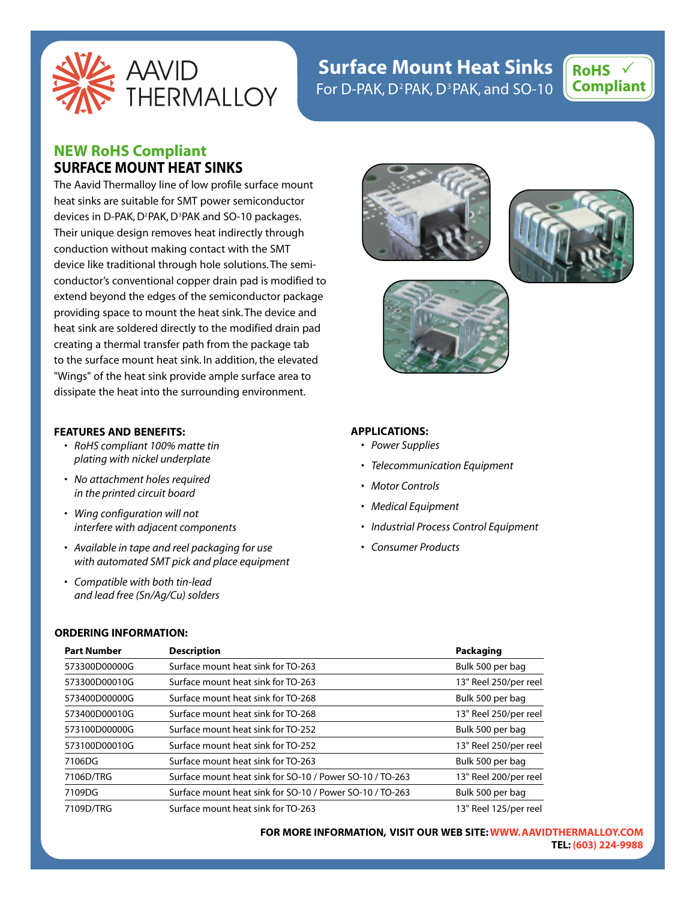

# **Surface Mount Heat Sinks**  For D-PAK,  $D^2$ PAK,  $D^3$ PAK, and SO-10



# **NEW RoHS Compliant SURFACE MOUNT HEAT SINKS**

The Aavid Thermalloy line of low profile surface mount heat sinks are suitable for SMT power semiconductor devices in D-PAK, D<sup>2</sup>PAK, D<sup>3</sup>PAK and SO-10 packages. Their unique design removes heat indirectly through conduction without making contact with the SMT device like traditional through hole solutions. The semiconductor's conventional copper drain pad is modified to extend beyond the edges of the semiconductor package providing space to mount the heat sink. The device and heat sink are soldered directly to the modified drain pad creating a thermal transfer path from the package tab to the surface mount heat sink. In addition, the elevated "Wings" of the heat sink provide ample surface area to dissipate the heat into the surrounding environment.

#### **FEATURES AND BENEFITS:**

- *RoHS compliant 100% matte tin plating with nickel underplate*
- *No attachment holes required in the printed circuit board*
- *Wing configuration will not interfere with adjacent components*
- *Available in tape and reel packaging for use with automated SMT pick and place equipment*
- *Compatible with both tin-lead and lead free (Sn/Ag/Cu) solders*

#### **ORDERING INFORMATION:**



**FOR MORE INFORMATION, VISIT OUR WEB SITE:WWW.AAVIDTHERMALLOY.COM TEL: (603) 224-9988**







### **APPLICATIONS:**

- *Power Supplies*
- *Telecommunication Equipment*
- *Motor Controls*
- *Medical Equipment*
- *Industrial Process Control Equipment*
- *Consumer Products*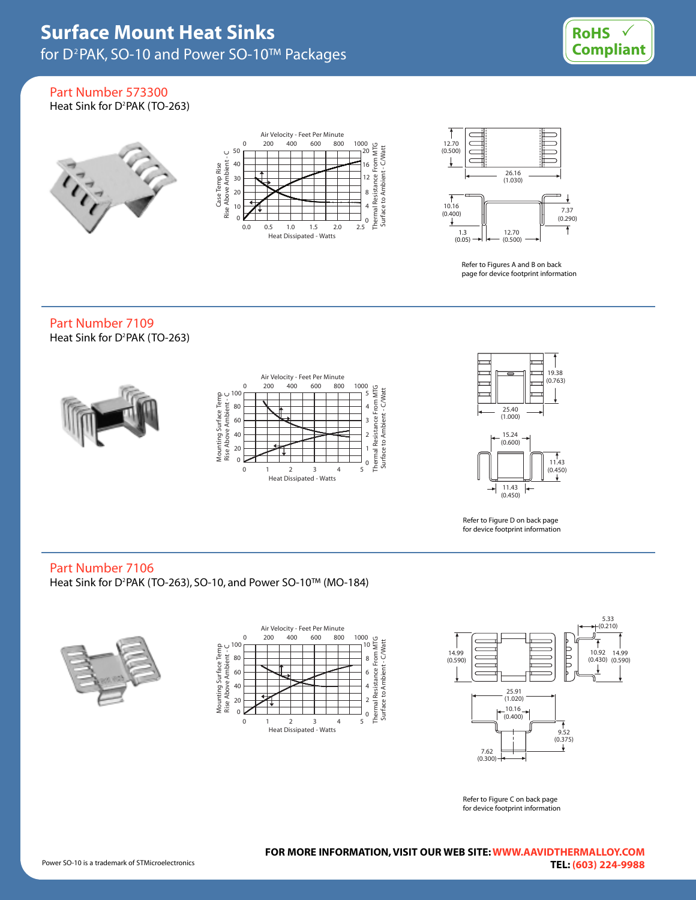

Part Number 573300 Heat Sink for D<sup>2</sup>PAK (TO-263)







Refer to Figures A and B on back page for device footprint information

# Part Number 7109 Heat Sink for D<sup>2</sup>PAK (TO-263)





Refer to Figure D on back page for device footprint information

# Part Number 7106

Heat Sink for D<sup>2</sup>PAK (TO-263), SO-10, and Power SO-10™ (MO-184)







Refer to Figure C on back page for device footprint information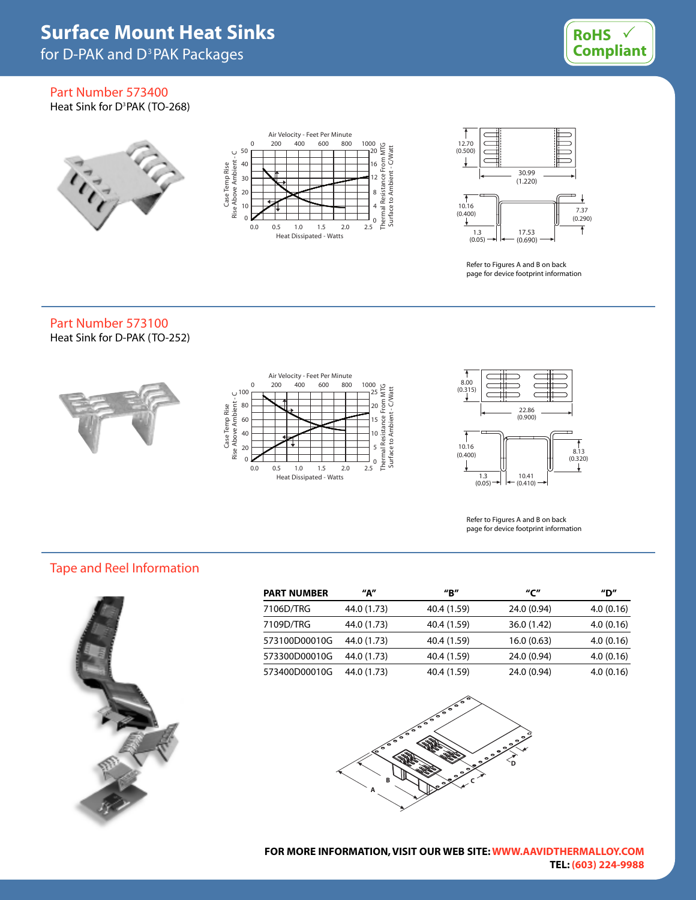for D-PAK and D<sup>3</sup>PAK Packages



## Part Number 573400 Heat Sink for D<sup>3</sup>PAK (TO-268)

 $\tilde{V}_{\tilde{t}^{\pm}}$ 





Refer to Figures A and B on back page for device footprint information

# Part Number 573100 Heat Sink for D-PAK (TO-252)







Refer to Figures A and B on back page for device footprint information

# Tape and Reel Information



| <b>PART NUMBER</b> | "А"         | "B"         | "ር"         | "D"       |
|--------------------|-------------|-------------|-------------|-----------|
| 7106D/TRG          | 44.0 (1.73) | 40.4 (1.59) | 24.0 (0.94) | 4.0(0.16) |
| 7109D/TRG          | 44.0 (1.73) | 40.4 (1.59) | 36.0 (1.42) | 4.0(0.16) |
| 573100D00010G      | 44.0 (1.73) | 40.4 (1.59) | 16.0(0.63)  | 4.0(0.16) |
| 573300D00010G      | 44.0 (1.73) | 40.4 (1.59) | 24.0 (0.94) | 4.0(0.16) |
| 573400D00010G      | 44.0 (1.73) | 40.4 (1.59) | 24.0 (0.94) | 4.0(0.16) |